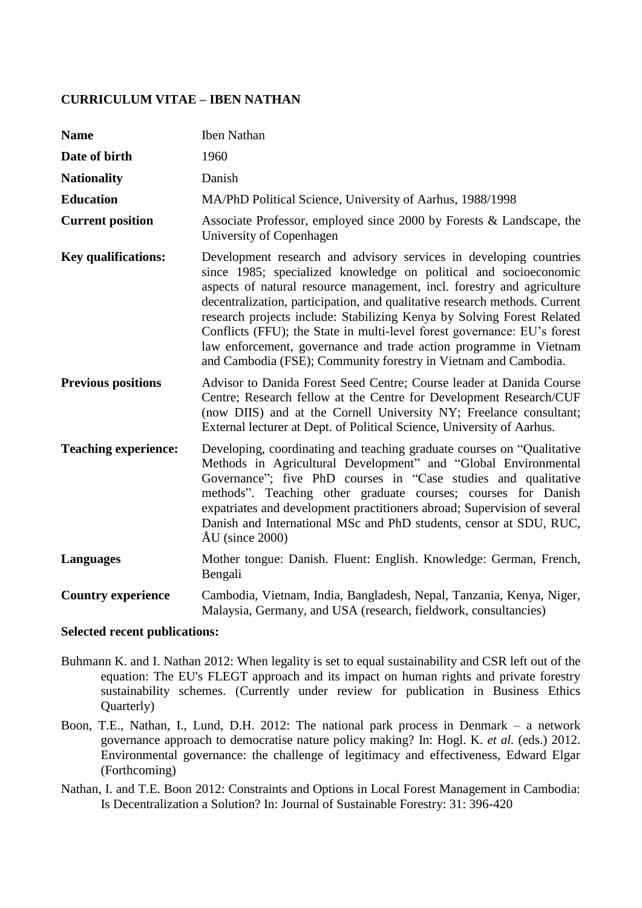## **CURRICULUM VITAE – IBEN NATHAN**

| <b>Name</b>                 | <b>Iben Nathan</b>                                                                                                                                                                                                                                                                                                                                                                                                                                                                                                                                                                           |
|-----------------------------|----------------------------------------------------------------------------------------------------------------------------------------------------------------------------------------------------------------------------------------------------------------------------------------------------------------------------------------------------------------------------------------------------------------------------------------------------------------------------------------------------------------------------------------------------------------------------------------------|
| Date of birth               | 1960                                                                                                                                                                                                                                                                                                                                                                                                                                                                                                                                                                                         |
| <b>Nationality</b>          | Danish                                                                                                                                                                                                                                                                                                                                                                                                                                                                                                                                                                                       |
| <b>Education</b>            | MA/PhD Political Science, University of Aarhus, 1988/1998                                                                                                                                                                                                                                                                                                                                                                                                                                                                                                                                    |
| <b>Current position</b>     | Associate Professor, employed since 2000 by Forests & Landscape, the<br>University of Copenhagen                                                                                                                                                                                                                                                                                                                                                                                                                                                                                             |
| <b>Key qualifications:</b>  | Development research and advisory services in developing countries<br>since 1985; specialized knowledge on political and socioeconomic<br>aspects of natural resource management, incl. forestry and agriculture<br>decentralization, participation, and qualitative research methods. Current<br>research projects include: Stabilizing Kenya by Solving Forest Related<br>Conflicts (FFU); the State in multi-level forest governance: EU's forest<br>law enforcement, governance and trade action programme in Vietnam<br>and Cambodia (FSE); Community forestry in Vietnam and Cambodia. |
| <b>Previous positions</b>   | Advisor to Danida Forest Seed Centre; Course leader at Danida Course<br>Centre; Research fellow at the Centre for Development Research/CUF<br>(now DIIS) and at the Cornell University NY; Freelance consultant;<br>External lecturer at Dept. of Political Science, University of Aarhus.                                                                                                                                                                                                                                                                                                   |
| <b>Teaching experience:</b> | Developing, coordinating and teaching graduate courses on "Qualitative"<br>Methods in Agricultural Development" and "Global Environmental<br>Governance"; five PhD courses in "Case studies and qualitative<br>methods". Teaching other graduate courses; courses for Danish<br>expatriates and development practitioners abroad; Supervision of several<br>Danish and International MSc and PhD students, censor at SDU, RUC,<br>$\text{AU}$ (since 2000)                                                                                                                                   |
| <b>Languages</b>            | Mother tongue: Danish. Fluent: English. Knowledge: German, French,<br>Bengali                                                                                                                                                                                                                                                                                                                                                                                                                                                                                                                |
| <b>Country experience</b>   | Cambodia, Vietnam, India, Bangladesh, Nepal, Tanzania, Kenya, Niger,<br>Malaysia, Germany, and USA (research, fieldwork, consultancies)                                                                                                                                                                                                                                                                                                                                                                                                                                                      |

## **Selected recent publications:**

- Buhmann K. and I. Nathan 2012: When legality is set to equal sustainability and CSR left out of the equation: The EU's FLEGT approach and its impact on human rights and private forestry sustainability schemes. (Currently under review for publication in Business Ethics Quarterly)
- Boon, T.E., Nathan, I., Lund, D.H. 2012: The national park process in Denmark a network governance approach to democratise nature policy making? In: Hogl. K. *et al.* (eds.) 2012. Environmental governance: the challenge of legitimacy and effectiveness, Edward Elgar (Forthcoming)
- Nathan, I. and T.E. Boon 2012: Constraints and Options in Local Forest Management in Cambodia: Is Decentralization a Solution? In: Journal of Sustainable Forestry: 31: 396-420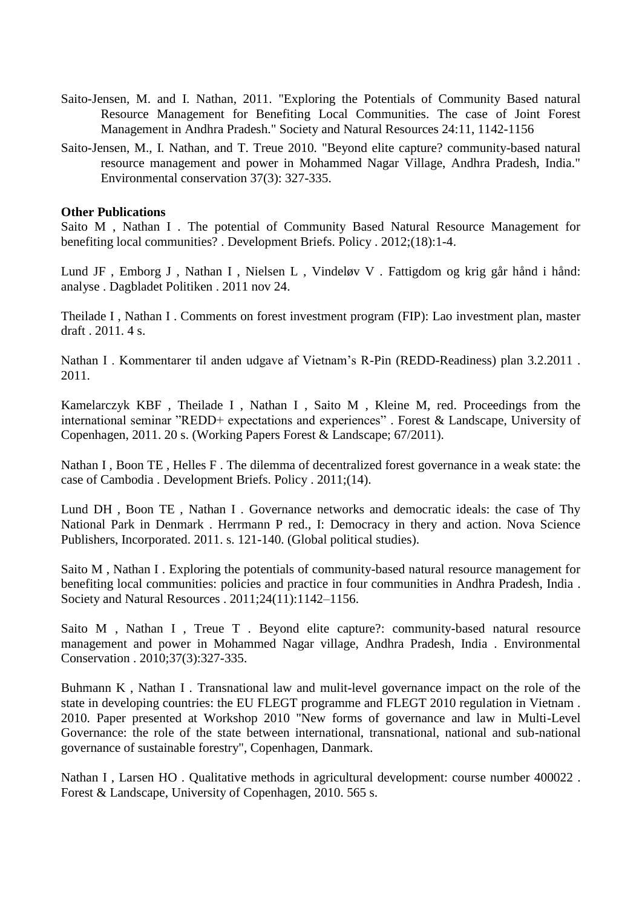- Saito-Jensen, M. and I. Nathan, 2011. "Exploring the Potentials of Community Based natural Resource Management for Benefiting Local Communities. The case of Joint Forest Management in Andhra Pradesh." Society and Natural Resources 24:11, 1142-1156
- Saito-Jensen, M., I. Nathan, and T. Treue 2010. "Beyond elite capture? community-based natural resource management and power in Mohammed Nagar Village, Andhra Pradesh, India." Environmental conservation 37(3): 327-335.

## **Other Publications**

Saito M , Nathan I . The [potential of Community Based Natural Resource Management for](http://curis.ku.dk/portal-life/da/publications/the-potential-of-community-based-natural-resource-management-for-benefiting-local-communities%2841683f47-7aa9-4ee8-a0e1-9e801f3b425a%29.html)  [benefiting local communities? .](http://curis.ku.dk/portal-life/da/publications/the-potential-of-community-based-natural-resource-management-for-benefiting-local-communities%2841683f47-7aa9-4ee8-a0e1-9e801f3b425a%29.html) Development Briefs. Policy . 2012;(18):1-4.

Lund JF , Emborg J , Nathan I , Nielsen L , Vindeløv V . [Fattigdom og krig går hånd i hånd:](http://curis.ku.dk/portal-life/da/publications/fattigdom-og-krig-gaar-haand-i-haand%2867571d7f-2a38-4c20-bbf3-5a4191b0bc52%29.html)  [analyse .](http://curis.ku.dk/portal-life/da/publications/fattigdom-og-krig-gaar-haand-i-haand%2867571d7f-2a38-4c20-bbf3-5a4191b0bc52%29.html) Dagbladet Politiken . 2011 nov 24.

Theilade I , Nathan I . Comments on forest investment program (FIP): Lao investment plan, master draft . 2011. 4 s.

Nathan I . Kommentarer til anden udgave af Vietnam's R-Pin (REDD-Readiness) plan 3.2.2011 . 2011.

Kamelarczyk KBF , Theilade I , Nathan I , Saito M , Kleine M, red. [Proceedings from the](http://curis.ku.dk/portal-life/da/publications/proceedings-from-the-international-seminar-redd-expectations-and-experiences%28b54e5343-19c7-4939-afdc-ed6076818249%29.html)  [international seminar "REDD+ expectations and experiences" .](http://curis.ku.dk/portal-life/da/publications/proceedings-from-the-international-seminar-redd-expectations-and-experiences%28b54e5343-19c7-4939-afdc-ed6076818249%29.html) Forest & Landscape, University of Copenhagen, 2011. 20 s. (Working Papers Forest & Landscape; 67/2011).

Nathan I , Boon TE , Helles F . [The dilemma of decentralized forest governance in a weak state: the](http://curis.ku.dk/portal-life/da/publications/the-dilemma-of-decentralized-forest-governance-in-a-weak-state%28832b8367-e359-4f8f-99ab-0dc3fce87fb0%29.html)  [case of Cambodia .](http://curis.ku.dk/portal-life/da/publications/the-dilemma-of-decentralized-forest-governance-in-a-weak-state%28832b8367-e359-4f8f-99ab-0dc3fce87fb0%29.html) Development Briefs. Policy . 2011;(14).

Lund DH , Boon TE , Nathan I . [Governance networks and democratic ideals: the case of Thy](http://curis.ku.dk/portal-life/da/publications/governance-networks-and-democratic-ideals%28b2d38294-c388-41a9-b194-7e92893b997e%29.html)  [National Park in Denmark .](http://curis.ku.dk/portal-life/da/publications/governance-networks-and-democratic-ideals%28b2d38294-c388-41a9-b194-7e92893b997e%29.html) Herrmann P red., I: Democracy in thery and action. Nova Science Publishers, Incorporated. 2011. s. 121-140. (Global political studies).

Saito M , Nathan I . [Exploring the potentials of community-based natural resource management for](http://curis.ku.dk/portal-life/da/publications/exploring-the-potentials-of-communitybased-natural-resource-management-for-benefiting-local-communities%282595e86a-646e-4198-9d19-7af6b3afc014%29.html)  [benefiting local communities: policies and practice in four communities in Andhra Pradesh, India .](http://curis.ku.dk/portal-life/da/publications/exploring-the-potentials-of-communitybased-natural-resource-management-for-benefiting-local-communities%282595e86a-646e-4198-9d19-7af6b3afc014%29.html) Society and Natural Resources . 2011;24(11):1142–1156.

Saito M, Nathan I, Treue T. Beyond elite capture?: community-based natural resource [management and power in Mohammed Nagar village, Andhra Pradesh, India .](http://curis.ku.dk/portal-life/da/publications/beyond-elite-capture%28fd7115da-07a1-47e4-bd98-9e3846384f26%29.html) Environmental Conservation . 2010;37(3):327-335.

Buhmann K , Nathan I . [Transnational law and mulit-level governance impact on the role of the](http://curis.ku.dk/portal-life/da/publications/transnational-law-and-mulitlevel-governance-impact-on-the-role-of-the-state-in-developing-countries%28347d88a0-8313-4790-bed3-531d65ef4ba7%29.html)  [state in developing countries: the EU FLEGT programme and FLEGT 2010 regulation in Vietnam .](http://curis.ku.dk/portal-life/da/publications/transnational-law-and-mulitlevel-governance-impact-on-the-role-of-the-state-in-developing-countries%28347d88a0-8313-4790-bed3-531d65ef4ba7%29.html) 2010. Paper presented at Workshop 2010 "New forms of governance and law in Multi-Level Governance: the role of the state between international, transnational, national and sub-national governance of sustainable forestry", Copenhagen, Danmark.

Nathan I, Larsen HO. Qualitative methods in agricultural development: course number 400022. Forest & Landscape, University of Copenhagen, 2010. 565 s.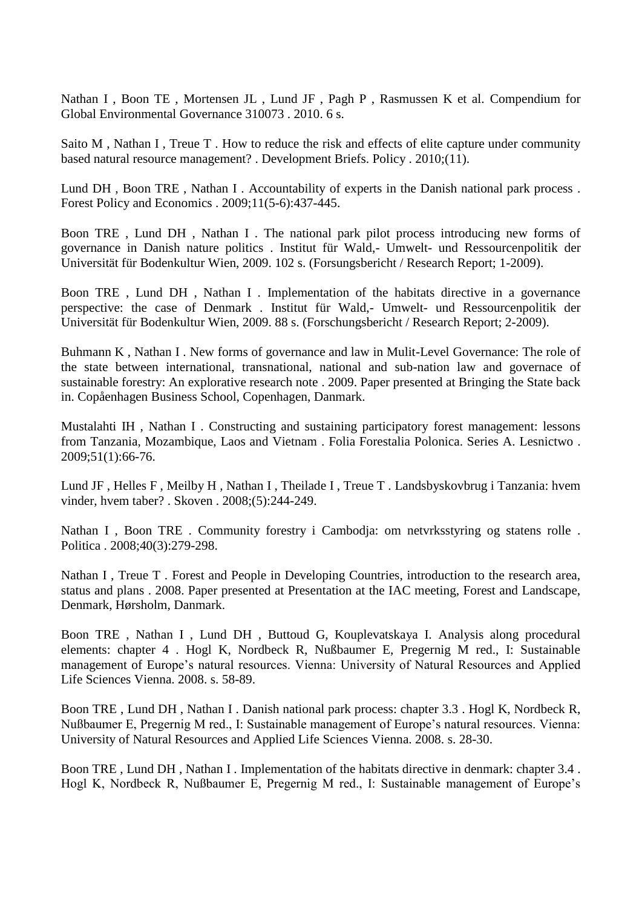Nathan I , Boon TE , Mortensen JL , Lund JF , Pagh P , Rasmussen K et al. [Compendium for](http://curis.ku.dk/portal-life/da/publications/compendium-for-global-environmental-governance-310073%282796f05f-636f-40b2-b6d3-4d26120617da%29.html)  [Global Environmental Governance 310073 .](http://curis.ku.dk/portal-life/da/publications/compendium-for-global-environmental-governance-310073%282796f05f-636f-40b2-b6d3-4d26120617da%29.html) 2010. 6 s.

Saito M, Nathan I, Treue T. How to reduce the risk and effects of elite capture under community [based natural resource management? .](http://curis.ku.dk/portal-life/da/publications/how-to-reduce-the-risk-and-effects-of-elite-capture-under-community-based-natural-resource-management%2837f0797b-cb59-486f-be2b-4f96352fec95%29.html) Development Briefs. Policy . 2010;(11).

Lund DH , Boon TRE , Nathan I . [Accountability of experts in the Danish national park process .](http://curis.ku.dk/portal-life/da/publications/accountability-of-experts-in-the-danish-national-park-process%28f6a811c0-d507-11dd-9473-000ea68e967b%29.html) Forest Policy and Economics . 2009;11(5-6):437-445.

Boon TRE , Lund DH , Nathan I . [The national park pilot process introducing new forms of](http://curis.ku.dk/portal-life/da/publications/the-national-park-pilot-process-introducing-new-forms-of-governance-in-danish-nature-politics%28c6e9b020-4126-11de-87b8-000ea68e967b%29.html)  [governance in Danish nature politics .](http://curis.ku.dk/portal-life/da/publications/the-national-park-pilot-process-introducing-new-forms-of-governance-in-danish-nature-politics%28c6e9b020-4126-11de-87b8-000ea68e967b%29.html) Institut für Wald,- Umwelt- und Ressourcenpolitik der Universität für Bodenkultur Wien, 2009. 102 s. (Forsungsbericht / Research Report; 1-2009).

Boon TRE , Lund DH , Nathan I . [Implementation of the habitats directive in a governance](http://curis.ku.dk/portal-life/da/publications/implementation-of-the-habitats-directive-in-a-governance-perspective%285b591bb0-4127-11de-87b8-000ea68e967b%29.html)  [perspective: the case of Denmark .](http://curis.ku.dk/portal-life/da/publications/implementation-of-the-habitats-directive-in-a-governance-perspective%285b591bb0-4127-11de-87b8-000ea68e967b%29.html) Institut für Wald,- Umwelt- und Ressourcenpolitik der Universität für Bodenkultur Wien, 2009. 88 s. (Forschungsbericht / Research Report; 2-2009).

Buhmann K , Nathan I . [New forms of governance and law in Mulit-Level Governance: The role of](http://curis.ku.dk/portal-life/da/publications/new-forms-of-governance-and-law-in-mulitlevel-governance-the-role-of-the-state-between-international-transnational-national-and-subnation-law-and-governace-of-sustainable-forestry%28faee66c0-0e73-11df-825d-000ea68e967b%29.html)  [the state between international, transnational, national and sub-nation law and governace of](http://curis.ku.dk/portal-life/da/publications/new-forms-of-governance-and-law-in-mulitlevel-governance-the-role-of-the-state-between-international-transnational-national-and-subnation-law-and-governace-of-sustainable-forestry%28faee66c0-0e73-11df-825d-000ea68e967b%29.html)  [sustainable forestry: An explorative research note .](http://curis.ku.dk/portal-life/da/publications/new-forms-of-governance-and-law-in-mulitlevel-governance-the-role-of-the-state-between-international-transnational-national-and-subnation-law-and-governace-of-sustainable-forestry%28faee66c0-0e73-11df-825d-000ea68e967b%29.html) 2009. Paper presented at Bringing the State back in. Copåenhagen Business School, Copenhagen, Danmark.

Mustalahti IH , Nathan I . [Constructing and sustaining participatory forest management: lessons](http://curis.ku.dk/portal-life/da/publications/constructing-and-sustaining-participatory-forest-management%2854cb5f51-4fc2-474d-b125-8fbc61cc2e53%29.html)  [from Tanzania, Mozambique, Laos and Vietnam .](http://curis.ku.dk/portal-life/da/publications/constructing-and-sustaining-participatory-forest-management%2854cb5f51-4fc2-474d-b125-8fbc61cc2e53%29.html) Folia Forestalia Polonica. Series A. Lesnictwo . 2009;51(1):66-76.

Lund JF , Helles F , Meilby H , Nathan I , Theilade I , Treue T . [Landsbyskovbrug i Tanzania: hvem](http://curis.ku.dk/portal-life/da/publications/landsbyskovbrug-i-tanzania%2878118920-a1c4-11dd-b6ae-000ea68e967b%29.html)  [vinder, hvem taber? .](http://curis.ku.dk/portal-life/da/publications/landsbyskovbrug-i-tanzania%2878118920-a1c4-11dd-b6ae-000ea68e967b%29.html) Skoven . 2008;(5):244-249.

Nathan I , Boon TRE . [Community forestry i Cambodja: om netvrksstyring og statens rolle .](http://curis.ku.dk/portal-life/da/publications/community-forestry-i-cambodja%28742a9ce0-d507-11dd-9473-000ea68e967b%29.html) Politica . 2008;40(3):279-298.

Nathan I, Treue T. Forest and People in Developing Countries, introduction to the research area, [status and plans .](http://curis.ku.dk/portal-life/da/publications/forest-and-people-in-developing-countries-introduction-to-the-research-area-status-and-plans%28561c64b0-d50f-11dd-9473-000ea68e967b%29.html) 2008. Paper presented at Presentation at the IAC meeting, Forest and Landscape, Denmark, Hørsholm, Danmark.

Boon TRE , Nathan I , Lund DH , Buttoud G, Kouplevatskaya I. [Analysis along procedural](http://curis.ku.dk/portal-life/da/publications/analysis-along-procedural-elements%28fc8a8a50-88cb-11de-8bc9-000ea68e967b%29.html)  [elements: chapter 4 .](http://curis.ku.dk/portal-life/da/publications/analysis-along-procedural-elements%28fc8a8a50-88cb-11de-8bc9-000ea68e967b%29.html) Hogl K, Nordbeck R, Nußbaumer E, Pregernig M red., I: Sustainable management of Europe's natural resources. Vienna: University of Natural Resources and Applied Life Sciences Vienna. 2008. s. 58-89.

Boon TRE , Lund DH , Nathan I . [Danish national park process: chapter 3.3 .](http://curis.ku.dk/portal-life/da/publications/danish-national-park-process%28870c9e20-88db-11de-8bc9-000ea68e967b%29.html) Hogl K, Nordbeck R, Nußbaumer E, Pregernig M red., I: Sustainable management of Europe's natural resources. Vienna: University of Natural Resources and Applied Life Sciences Vienna. 2008. s. 28-30.

Boon TRE , Lund DH , Nathan I . [Implementation of the habitats directive in denmark: chapter 3.4 .](http://curis.ku.dk/portal-life/da/publications/implementation-of-the-habitats-directive-in-denmark%282cfd8b50-88dc-11de-8bc9-000ea68e967b%29.html) Hogl K, Nordbeck R, Nußbaumer E, Pregernig M red., I: Sustainable management of Europe's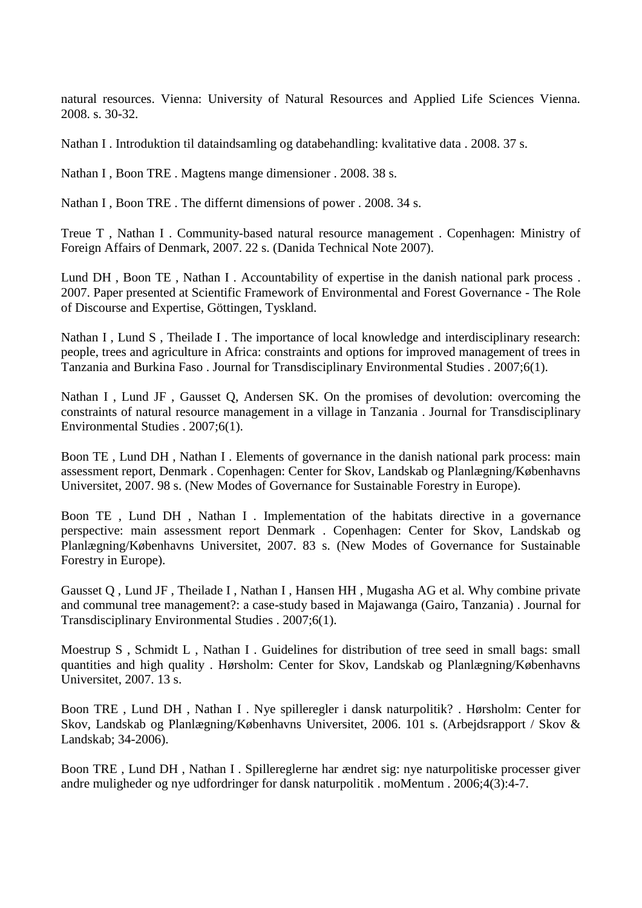natural resources. Vienna: University of Natural Resources and Applied Life Sciences Vienna. 2008. s. 30-32.

Nathan I . [Introduktion til dataindsamling og databehandling: kvalitative data .](http://curis.ku.dk/portal-life/da/publications/introduktion-til-dataindsamling-og-databehandling%281edfac50-9b8e-11de-bc73-000ea68e967b%29.html) 2008. 37 s.

Nathan I, Boon TRE. [Magtens mange dimensioner .](http://curis.ku.dk/portal-life/da/publications/magtens-mange-dimensioner%28c112f540-9b8e-11de-bc73-000ea68e967b%29.html) 2008. 38 s.

Nathan I, Boon TRE. The differnt dimensions of power. 2008. 34 s.

Treue T , Nathan I . [Community-based natural resource management .](http://curis.ku.dk/portal-life/da/publications/communitybased-natural-resource-management%28a88ea170-a1c2-11dd-b6ae-000ea68e967b%29.html) Copenhagen: Ministry of Foreign Affairs of Denmark, 2007. 22 s. (Danida Technical Note 2007).

Lund DH , Boon TE , Nathan I . [Accountability of expertise in the danish national park process .](http://curis.ku.dk/portal-life/da/publications/accountability-of-expertise-in-the-danish-national-park-process%28ef0a9b40-a1c2-11dd-b6ae-000ea68e967b%29.html) 2007. Paper presented at Scientific Framework of Environmental and Forest Governance - The Role of Discourse and Expertise, Göttingen, Tyskland.

Nathan I , Lund S , Theilade I . The importance of local knowledge and interdisciplinary research: [people, trees and agriculture in Africa: constraints and options for improved management of trees in](http://curis.ku.dk/portal-life/da/publications/the-importance-of-local-knowledge-and-interdisciplinary-research%28499c7d30-a1c3-11dd-b6ae-000ea68e967b%29.html)  [Tanzania and Burkina Faso .](http://curis.ku.dk/portal-life/da/publications/the-importance-of-local-knowledge-and-interdisciplinary-research%28499c7d30-a1c3-11dd-b6ae-000ea68e967b%29.html) Journal for Transdisciplinary Environmental Studies . 2007;6(1).

Nathan I , Lund JF , Gausset Q, Andersen SK. [On the promises of devolution: overcoming the](http://curis.ku.dk/portal-life/da/publications/on-the-promises-of-devolution%284a5f5800-a1c3-11dd-b6ae-000ea68e967b%29.html)  [constraints of natural resource management in a village in Tanzania .](http://curis.ku.dk/portal-life/da/publications/on-the-promises-of-devolution%284a5f5800-a1c3-11dd-b6ae-000ea68e967b%29.html) Journal for Transdisciplinary Environmental Studies . 2007;6(1).

Boon TE , Lund DH , Nathan I . [Elements of governance in the danish national park process: main](http://curis.ku.dk/portal-life/da/publications/elements-of-governance-in-the-danish-national-park-process%284a802670-a1c3-11dd-b6ae-000ea68e967b%29.html)  [assessment report, Denmark .](http://curis.ku.dk/portal-life/da/publications/elements-of-governance-in-the-danish-national-park-process%284a802670-a1c3-11dd-b6ae-000ea68e967b%29.html) Copenhagen: Center for Skov, Landskab og Planlægning/Københavns Universitet, 2007. 98 s. (New Modes of Governance for Sustainable Forestry in Europe).

Boon TE , Lund DH , Nathan I . [Implementation of the habitats directive in a governance](http://curis.ku.dk/portal-life/da/publications/implementation-of-the-habitats-directive-in-a-governance-perspective%284aa3b400-a1c3-11dd-b6ae-000ea68e967b%29.html)  [perspective: main assessment report Denmark .](http://curis.ku.dk/portal-life/da/publications/implementation-of-the-habitats-directive-in-a-governance-perspective%284aa3b400-a1c3-11dd-b6ae-000ea68e967b%29.html) Copenhagen: Center for Skov, Landskab og Planlægning/Københavns Universitet, 2007. 83 s. (New Modes of Governance for Sustainable Forestry in Europe).

Gausset Q , Lund JF , Theilade I , Nathan I , Hansen HH , Mugasha AG et al. [Why combine private](http://curis.ku.dk/portal-life/da/publications/why-combine-private-and-communal-tree-management%2851559200-a1c3-11dd-b6ae-000ea68e967b%29.html)  [and communal tree management?: a case-study](http://curis.ku.dk/portal-life/da/publications/why-combine-private-and-communal-tree-management%2851559200-a1c3-11dd-b6ae-000ea68e967b%29.html) based in Majawanga (Gairo, Tanzania) . Journal for Transdisciplinary Environmental Studies . 2007;6(1).

Moestrup S, Schmidt L, Nathan I. Guidelines for distribution of tree seed in small bags: small [quantities and high quality .](http://curis.ku.dk/portal-life/da/publications/guidelines-for-distribution-of-tree-seed-in-small-bags%28bde97030-a1c3-11dd-b6ae-000ea68e967b%29.html) Hørsholm: Center for Skov, Landskab og Planlægning/Københavns Universitet, 2007. 13 s.

Boon TRE , Lund DH , Nathan I . [Nye spilleregler i dansk naturpolitik? .](http://curis.ku.dk/portal-life/da/publications/nye-spilleregler-i-dansk-naturpolitik%28ed392180-a1c0-11dd-b6ae-000ea68e967b%29.html) Hørsholm: Center for Skov, Landskab og Planlægning/Københavns Universitet, 2006. 101 s. (Arbejdsrapport / Skov & Landskab; 34-2006).

Boon TRE , Lund DH , Nathan I . [Spillereglerne har ændret sig: nye naturpolitiske processer giver](http://curis.ku.dk/portal-life/da/publications/spillereglerne-har-aendret-sig%283cedf250-a1c1-11dd-b6ae-000ea68e967b%29.html)  [andre muligheder og nye udfordringer for dansk naturpolitik .](http://curis.ku.dk/portal-life/da/publications/spillereglerne-har-aendret-sig%283cedf250-a1c1-11dd-b6ae-000ea68e967b%29.html) moMentum . 2006;4(3):4-7.